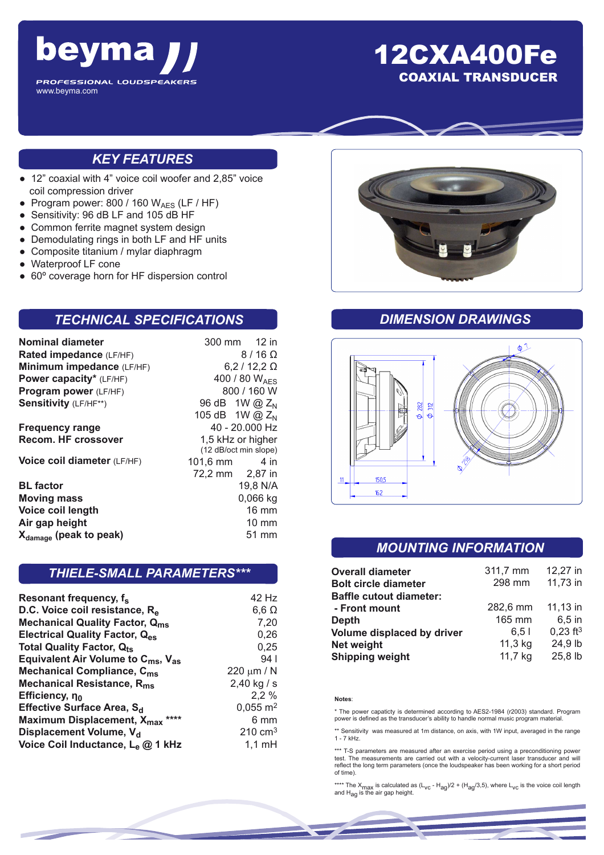

# 12CXA400Fe COAXIAL TRANSDUCER

## *KEY FEATURES*

- 12" coaxial with 4" voice coil woofer and 2,85" voice coil compression driver
- Program power: 800 / 160  $W_{AES}$  (LF / HF)
- Sensitivity: 96 dB LF and 105 dB HF
- Common ferrite magnet system design
- Demodulating rings in both LF and HF units
- Composite titanium / mylar diaphragm
- Waterproof LF cone
- 60° coverage horn for HF dispersion control

### *TECHNICAL SPECIFICATIONS*

| Nominal diameter                   | 300 mm 12 in                               |  |  |
|------------------------------------|--------------------------------------------|--|--|
| Rated impedance (LF/HF)            | $8/16$ $\Omega$                            |  |  |
| Minimum impedance (LF/HF)          | $6,2/12,2 \Omega$                          |  |  |
| Power capacity* (LF/HF)            | 400 / 80 WAFS                              |  |  |
| Program power (LF/HF)              | 800 / 160 W                                |  |  |
| Sensitivity (LF/HF**)              | 96 dB 1W @ Z <sub>N</sub>                  |  |  |
|                                    | 105 dB 1W @ $Z_N$                          |  |  |
| <b>Frequency range</b>             | 40 - 20.000 Hz                             |  |  |
| Recom. HF crossover                | 1,5 kHz or higher<br>(12 dB/oct min slope) |  |  |
| Voice coil diameter (LF/HF)        | $101,6 \, \text{mm}$ 4 in                  |  |  |
|                                    | 72,2 mm 2,87 in                            |  |  |
| <b>BL</b> factor                   | 19,8 N/A                                   |  |  |
| <b>Moving mass</b>                 | $0,066$ kg                                 |  |  |
| Voice coil length                  | $16 \text{ mm}$                            |  |  |
| Air gap height                     | 10 mm                                      |  |  |
| X <sub>damage</sub> (peak to peak) | 51 mm                                      |  |  |
|                                    |                                            |  |  |

## *THIELE-SMALL PARAMETERS\*\*\**

| 42 Hz               |
|---------------------|
|                     |
| $6,6 \Omega$        |
| 7,20                |
| 0,26                |
| 0,25                |
| 94 <sub>1</sub>     |
| 220 $\mu$ m / N     |
| $2,40$ kg / s       |
| 2,2%                |
| $0,055 \text{ m}^2$ |
| 6 mm                |
| $210 \text{ cm}^3$  |
| $1,1 \text{ mH}$    |
|                     |



## *DIMENSION DRAWINGS*



## *MOUNTING INFORMATION*

| <b>Overall diameter</b>        | 311,7 mm | 12,27 in               |
|--------------------------------|----------|------------------------|
| <b>Bolt circle diameter</b>    | 298 mm   | 11,73 in               |
| <b>Baffle cutout diameter:</b> |          |                        |
| - Front mount                  | 282,6 mm | 11,13 in               |
| Depth                          | 165 mm   | $6.5$ in               |
| Volume displaced by driver     | 6.51     | $0,23$ ft <sup>3</sup> |
| <b>Net weight</b>              | 11,3 kg  | 24,9 lb                |
| <b>Shipping weight</b>         | 11,7 kg  | 25,8 lb                |

#### **Notes**:

\* The power capaticty is determined according to AES2-1984 (r2003) standard. Program power is defined as the transducer's ability to handle normal music program material.

\*\* Sensitivity was measured at 1m distance, on axis, with 1W input, averaged in the range 1 - 7 kHz.

\*\*\* T-S parameters are measured after an exercise period using a preconditioning power test. The measurements are carried out with a velocity-current laser transducer and will reflect the long term parameters (once the loudspeaker has been working for a short period of time).

\*\*\*\* The X<sub>max</sub> is calculated as (L<sub>VC</sub> - H<sub>ag</sub>)/2 + (H<sub>ag</sub>/3,5), where L<sub>VC</sub> is the voice coil length<br>and H<sub>ag</sub> is the air gap height.